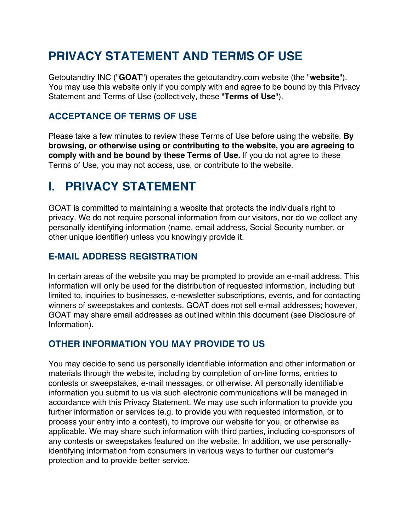# **PRIVACY STATEMENT AND TERMS OF USE**

Getoutandtry INC ("**GOAT**") operates the getoutandtry.com website (the "**website**"). You may use this website only if you comply with and agree to be bound by this Privacy Statement and Terms of Use (collectively, these "**Terms of Use**").

## **ACCEPTANCE OF TERMS OF USE**

Please take a few minutes to review these Terms of Use before using the website. **By browsing, or otherwise using or contributing to the website, you are agreeing to comply with and be bound by these Terms of Use.** If you do not agree to these Terms of Use, you may not access, use, or contribute to the website.

# **I. PRIVACY STATEMENT**

GOAT is committed to maintaining a website that protects the individual's right to privacy. We do not require personal information from our visitors, nor do we collect any personally identifying information (name, email address, Social Security number, or other unique identifier) unless you knowingly provide it.

## **E-MAIL ADDRESS REGISTRATION**

In certain areas of the website you may be prompted to provide an e-mail address. This information will only be used for the distribution of requested information, including but limited to, inquiries to businesses, e-newsletter subscriptions, events, and for contacting winners of sweepstakes and contests. GOAT does not sell e-mail addresses; however, GOAT may share email addresses as outlined within this document (see Disclosure of Information).

## **OTHER INFORMATION YOU MAY PROVIDE TO US**

You may decide to send us personally identifiable information and other information or materials through the website, including by completion of on-line forms, entries to contests or sweepstakes, e-mail messages, or otherwise. All personally identifiable information you submit to us via such electronic communications will be managed in accordance with this Privacy Statement. We may use such information to provide you further information or services (e.g. to provide you with requested information, or to process your entry into a contest), to improve our website for you, or otherwise as applicable. We may share such information with third parties, including co-sponsors of any contests or sweepstakes featured on the website. In addition, we use personallyidentifying information from consumers in various ways to further our customer's protection and to provide better service.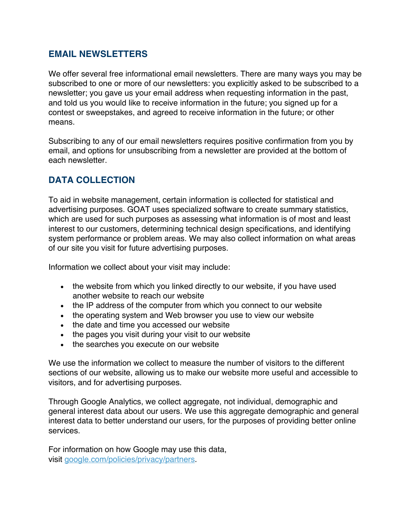#### **EMAIL NEWSLETTERS**

We offer several free informational email newsletters. There are many ways you may be subscribed to one or more of our newsletters: you explicitly asked to be subscribed to a newsletter; you gave us your email address when requesting information in the past, and told us you would like to receive information in the future; you signed up for a contest or sweepstakes, and agreed to receive information in the future; or other means.

Subscribing to any of our email newsletters requires positive confirmation from you by email, and options for unsubscribing from a newsletter are provided at the bottom of each newsletter.

## **DATA COLLECTION**

To aid in website management, certain information is collected for statistical and advertising purposes. GOAT uses specialized software to create summary statistics, which are used for such purposes as assessing what information is of most and least interest to our customers, determining technical design specifications, and identifying system performance or problem areas. We may also collect information on what areas of our site you visit for future advertising purposes.

Information we collect about your visit may include:

- the website from which you linked directly to our website, if you have used another website to reach our website
- the IP address of the computer from which you connect to our website
- the operating system and Web browser you use to view our website
- the date and time you accessed our website
- the pages you visit during your visit to our website
- the searches you execute on our website

We use the information we collect to measure the number of visitors to the different sections of our website, allowing us to make our website more useful and accessible to visitors, and for advertising purposes.

Through Google Analytics, we collect aggregate, not individual, demographic and general interest data about our users. We use this aggregate demographic and general interest data to better understand our users, for the purposes of providing better online services.

For information on how Google may use this data, visit google.com/policies/privacy/partners.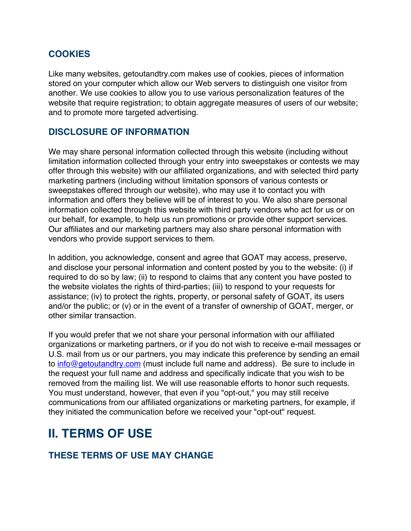#### **COOKIES**

Like many websites, getoutandtry.com makes use of cookies, pieces of information stored on your computer which allow our Web servers to distinguish one visitor from another. We use cookies to allow you to use various personalization features of the website that require registration; to obtain aggregate measures of users of our website; and to promote more targeted advertising.

#### **DISCLOSURE OF INFORMATION**

We may share personal information collected through this website (including without limitation information collected through your entry into sweepstakes or contests we may offer through this website) with our affiliated organizations, and with selected third party marketing partners (including without limitation sponsors of various contests or sweepstakes offered through our website), who may use it to contact you with information and offers they believe will be of interest to you. We also share personal information collected through this website with third party vendors who act for us or on our behalf, for example, to help us run promotions or provide other support services. Our affiliates and our marketing partners may also share personal information with vendors who provide support services to them.

In addition, you acknowledge, consent and agree that GOAT may access, preserve, and disclose your personal information and content posted by you to the website: (i) if required to do so by law; (ii) to respond to claims that any content you have posted to the website violates the rights of third-parties; (iii) to respond to your requests for assistance; (iv) to protect the rights, property, or personal safety of GOAT, its users and/or the public; or (v) or in the event of a transfer of ownership of GOAT, merger, or other similar transaction.

If you would prefer that we not share your personal information with our affiliated organizations or marketing partners, or if you do not wish to receive e-mail messages or U.S. mail from us or our partners, you may indicate this preference by sending an email to info@getoutandtry.com (must include full name and address). Be sure to include in the request your full name and address and specifically indicate that you wish to be removed from the mailing list. We will use reasonable efforts to honor such requests. You must understand, however, that even if you "opt-out," you may still receive communications from our affiliated organizations or marketing partners, for example, if they initiated the communication before we received your "opt-out" request.

## **II. TERMS OF USE**

#### **THESE TERMS OF USE MAY CHANGE**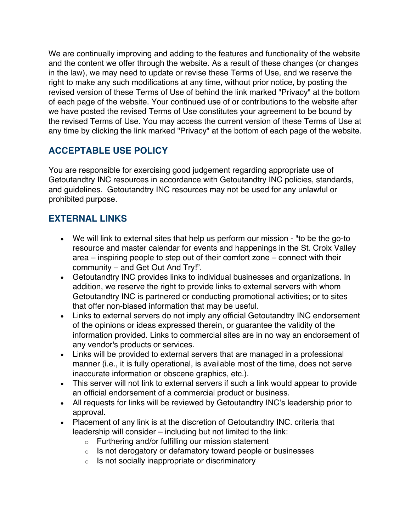We are continually improving and adding to the features and functionality of the website and the content we offer through the website. As a result of these changes (or changes in the law), we may need to update or revise these Terms of Use, and we reserve the right to make any such modifications at any time, without prior notice, by posting the revised version of these Terms of Use of behind the link marked "Privacy" at the bottom of each page of the website. Your continued use of or contributions to the website after we have posted the revised Terms of Use constitutes your agreement to be bound by the revised Terms of Use. You may access the current version of these Terms of Use at any time by clicking the link marked "Privacy" at the bottom of each page of the website.

## **ACCEPTABLE USE POLICY**

You are responsible for exercising good judgement regarding appropriate use of Getoutandtry INC resources in accordance with Getoutandtry INC policies, standards, and guidelines. Getoutandtry INC resources may not be used for any unlawful or prohibited purpose.

## **EXTERNAL LINKS**

- We will link to external sites that help us perform our mission "to be the go-to resource and master calendar for events and happenings in the St. Croix Valley area – inspiring people to step out of their comfort zone – connect with their community – and Get Out And Try!".
- Getoutandtry INC provides links to individual businesses and organizations. In addition, we reserve the right to provide links to external servers with whom Getoutandtry INC is partnered or conducting promotional activities; or to sites that offer non-biased information that may be useful.
- Links to external servers do not imply any official Getoutandtry INC endorsement of the opinions or ideas expressed therein, or guarantee the validity of the information provided. Links to commercial sites are in no way an endorsement of any vendor's products or services.
- Links will be provided to external servers that are managed in a professional manner (i.e., it is fully operational, is available most of the time, does not serve inaccurate information or obscene graphics, etc.).
- This server will not link to external servers if such a link would appear to provide an official endorsement of a commercial product or business.
- All requests for links will be reviewed by Getoutandtry INC's leadership prior to approval.
- Placement of any link is at the discretion of Getoutandtry INC. criteria that leadership will consider – including but not limited to the link:
	- o Furthering and/or fulfilling our mission statement
	- o Is not derogatory or defamatory toward people or businesses
	- o Is not socially inappropriate or discriminatory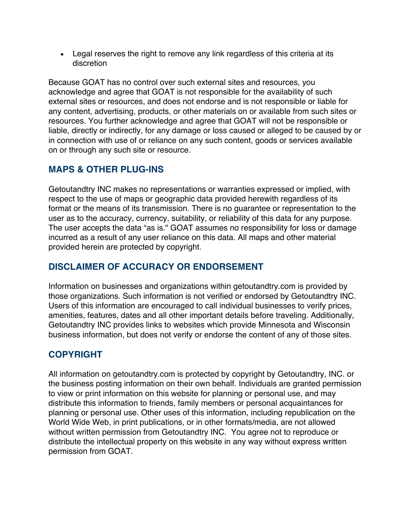• Legal reserves the right to remove any link regardless of this criteria at its discretion

Because GOAT has no control over such external sites and resources, you acknowledge and agree that GOAT is not responsible for the availability of such external sites or resources, and does not endorse and is not responsible or liable for any content, advertising, products, or other materials on or available from such sites or resources. You further acknowledge and agree that GOAT will not be responsible or liable, directly or indirectly, for any damage or loss caused or alleged to be caused by or in connection with use of or reliance on any such content, goods or services available on or through any such site or resource.

## **MAPS & OTHER PLUG-INS**

Getoutandtry INC makes no representations or warranties expressed or implied, with respect to the use of maps or geographic data provided herewith regardless of its format or the means of its transmission. There is no guarantee or representation to the user as to the accuracy, currency, suitability, or reliability of this data for any purpose. The user accepts the data "as is." GOAT assumes no responsibility for loss or damage incurred as a result of any user reliance on this data. All maps and other material provided herein are protected by copyright.

## **DISCLAIMER OF ACCURACY OR ENDORSEMENT**

Information on businesses and organizations within getoutandtry.com is provided by those organizations. Such information is not verified or endorsed by Getoutandtry INC. Users of this information are encouraged to call individual businesses to verify prices, amenities, features, dates and all other important details before traveling. Additionally, Getoutandtry INC provides links to websites which provide Minnesota and Wisconsin business information, but does not verify or endorse the content of any of those sites.

## **COPYRIGHT**

All information on getoutandtry.com is protected by copyright by Getoutandtry, INC. or the business posting information on their own behalf. Individuals are granted permission to view or print information on this website for planning or personal use, and may distribute this information to friends, family members or personal acquaintances for planning or personal use. Other uses of this information, including republication on the World Wide Web, in print publications, or in other formats/media, are not allowed without written permission from Getoutandtry INC. You agree not to reproduce or distribute the intellectual property on this website in any way without express written permission from GOAT.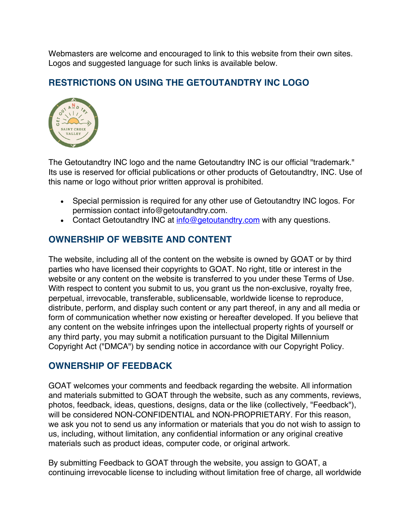Webmasters are welcome and encouraged to link to this website from their own sites. Logos and suggested language for such links is available below.

### **RESTRICTIONS ON USING THE GETOUTANDTRY INC LOGO**



The Getoutandtry INC logo and the name Getoutandtry INC is our official "trademark." Its use is reserved for official publications or other products of Getoutandtry, INC. Use of this name or logo without prior written approval is prohibited.

- Special permission is required for any other use of Getoutandtry INC logos. For permission contact info@getoutandtry.com.
- Contact Getoutandtry INC at info@getoutandtry.com with any questions.

### **OWNERSHIP OF WEBSITE AND CONTENT**

The website, including all of the content on the website is owned by GOAT or by third parties who have licensed their copyrights to GOAT. No right, title or interest in the website or any content on the website is transferred to you under these Terms of Use. With respect to content you submit to us, you grant us the non-exclusive, royalty free, perpetual, irrevocable, transferable, sublicensable, worldwide license to reproduce, distribute, perform, and display such content or any part thereof, in any and all media or form of communication whether now existing or hereafter developed. If you believe that any content on the website infringes upon the intellectual property rights of yourself or any third party, you may submit a notification pursuant to the Digital Millennium Copyright Act ("DMCA") by sending notice in accordance with our Copyright Policy.

#### **OWNERSHIP OF FEEDBACK**

GOAT welcomes your comments and feedback regarding the website. All information and materials submitted to GOAT through the website, such as any comments, reviews, photos, feedback, ideas, questions, designs, data or the like (collectively, "Feedback"), will be considered NON-CONFIDENTIAL and NON-PROPRIETARY. For this reason, we ask you not to send us any information or materials that you do not wish to assign to us, including, without limitation, any confidential information or any original creative materials such as product ideas, computer code, or original artwork.

By submitting Feedback to GOAT through the website, you assign to GOAT, a continuing irrevocable license to including without limitation free of charge, all worldwide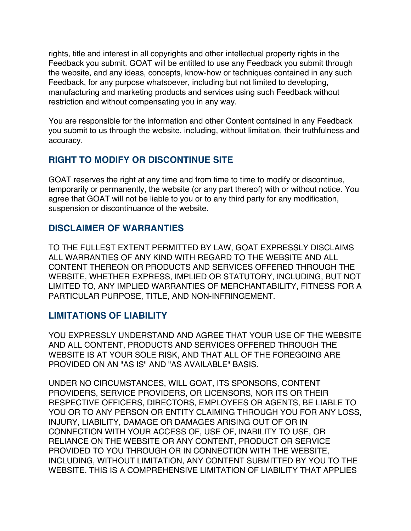rights, title and interest in all copyrights and other intellectual property rights in the Feedback you submit. GOAT will be entitled to use any Feedback you submit through the website, and any ideas, concepts, know-how or techniques contained in any such Feedback, for any purpose whatsoever, including but not limited to developing, manufacturing and marketing products and services using such Feedback without restriction and without compensating you in any way.

You are responsible for the information and other Content contained in any Feedback you submit to us through the website, including, without limitation, their truthfulness and accuracy.

## **RIGHT TO MODIFY OR DISCONTINUE SITE**

GOAT reserves the right at any time and from time to time to modify or discontinue, temporarily or permanently, the website (or any part thereof) with or without notice. You agree that GOAT will not be liable to you or to any third party for any modification, suspension or discontinuance of the website.

### **DISCLAIMER OF WARRANTIES**

TO THE FULLEST EXTENT PERMITTED BY LAW, GOAT EXPRESSLY DISCLAIMS ALL WARRANTIES OF ANY KIND WITH REGARD TO THE WEBSITE AND ALL CONTENT THEREON OR PRODUCTS AND SERVICES OFFERED THROUGH THE WEBSITE, WHETHER EXPRESS, IMPLIED OR STATUTORY, INCLUDING, BUT NOT LIMITED TO, ANY IMPLIED WARRANTIES OF MERCHANTABILITY, FITNESS FOR A PARTICULAR PURPOSE, TITLE, AND NON-INFRINGEMENT.

#### **LIMITATIONS OF LIABILITY**

YOU EXPRESSLY UNDERSTAND AND AGREE THAT YOUR USE OF THE WEBSITE AND ALL CONTENT, PRODUCTS AND SERVICES OFFERED THROUGH THE WEBSITE IS AT YOUR SOLE RISK, AND THAT ALL OF THE FOREGOING ARE PROVIDED ON AN "AS IS" AND "AS AVAILABLE" BASIS.

UNDER NO CIRCUMSTANCES, WILL GOAT, ITS SPONSORS, CONTENT PROVIDERS, SERVICE PROVIDERS, OR LICENSORS, NOR ITS OR THEIR RESPECTIVE OFFICERS, DIRECTORS, EMPLOYEES OR AGENTS, BE LIABLE TO YOU OR TO ANY PERSON OR ENTITY CLAIMING THROUGH YOU FOR ANY LOSS, INJURY, LIABILITY, DAMAGE OR DAMAGES ARISING OUT OF OR IN CONNECTION WITH YOUR ACCESS OF, USE OF, INABILITY TO USE, OR RELIANCE ON THE WEBSITE OR ANY CONTENT, PRODUCT OR SERVICE PROVIDED TO YOU THROUGH OR IN CONNECTION WITH THE WEBSITE, INCLUDING, WITHOUT LIMITATION, ANY CONTENT SUBMITTED BY YOU TO THE WEBSITE. THIS IS A COMPREHENSIVE LIMITATION OF LIABILITY THAT APPLIES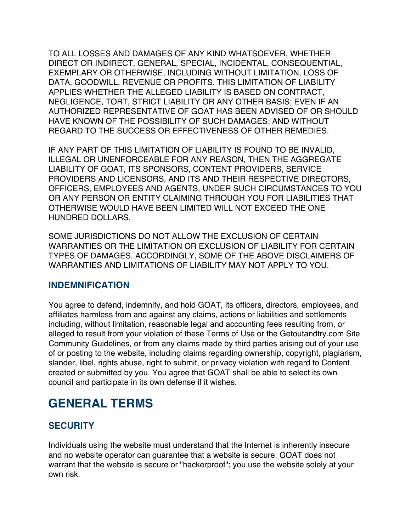TO ALL LOSSES AND DAMAGES OF ANY KIND WHATSOEVER, WHETHER DIRECT OR INDIRECT, GENERAL, SPECIAL, INCIDENTAL, CONSEQUENTIAL, EXEMPLARY OR OTHERWISE, INCLUDING WITHOUT LIMITATION, LOSS OF DATA, GOODWILL, REVENUE OR PROFITS. THIS LIMITATION OF LIABILITY APPLIES WHETHER THE ALLEGED LIABILITY IS BASED ON CONTRACT, NEGLIGENCE, TORT, STRICT LIABILITY OR ANY OTHER BASIS; EVEN IF AN AUTHORIZED REPRESENTATIVE OF GOAT HAS BEEN ADVISED OF OR SHOULD HAVE KNOWN OF THE POSSIBILITY OF SUCH DAMAGES; AND WITHOUT REGARD TO THE SUCCESS OR EFFECTIVENESS OF OTHER REMEDIES.

IF ANY PART OF THIS LIMITATION OF LIABILITY IS FOUND TO BE INVALID, ILLEGAL OR UNENFORCEABLE FOR ANY REASON, THEN THE AGGREGATE LIABILITY OF GOAT, ITS SPONSORS, CONTENT PROVIDERS, SERVICE PROVIDERS AND LICENSORS, AND ITS AND THEIR RESPECTIVE DIRECTORS, OFFICERS, EMPLOYEES AND AGENTS, UNDER SUCH CIRCUMSTANCES TO YOU OR ANY PERSON OR ENTITY CLAIMING THROUGH YOU FOR LIABILITIES THAT OTHERWISE WOULD HAVE BEEN LIMITED WILL NOT EXCEED THE ONE HUNDRED DOLLARS.

SOME JURISDICTIONS DO NOT ALLOW THE EXCLUSION OF CERTAIN WARRANTIES OR THE LIMITATION OR EXCLUSION OF LIABILITY FOR CERTAIN TYPES OF DAMAGES. ACCORDINGLY, SOME OF THE ABOVE DISCLAIMERS OF WARRANTIES AND LIMITATIONS OF LIABILITY MAY NOT APPLY TO YOU.

## **INDEMNIFICATION**

You agree to defend, indemnify, and hold GOAT, its officers, directors, employees, and affiliates harmless from and against any claims, actions or liabilities and settlements including, without limitation, reasonable legal and accounting fees resulting from, or alleged to result from your violation of these Terms of Use or the Getoutandtry.com Site Community Guidelines, or from any claims made by third parties arising out of your use of or posting to the website, including claims regarding ownership, copyright, plagiarism, slander, libel, rights abuse, right to submit, or privacy violation with regard to Content created or submitted by you. You agree that GOAT shall be able to select its own council and participate in its own defense if it wishes.

## **GENERAL TERMS**

#### **SECURITY**

Individuals using the website must understand that the Internet is inherently insecure and no website operator can guarantee that a website is secure. GOAT does not warrant that the website is secure or "hackerproof"; you use the website solely at your own risk.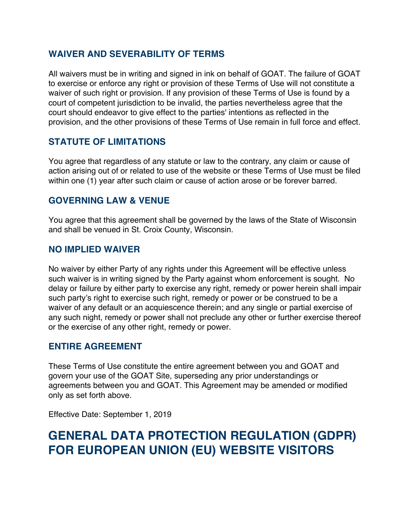### **WAIVER AND SEVERABILITY OF TERMS**

All waivers must be in writing and signed in ink on behalf of GOAT. The failure of GOAT to exercise or enforce any right or provision of these Terms of Use will not constitute a waiver of such right or provision. If any provision of these Terms of Use is found by a court of competent jurisdiction to be invalid, the parties nevertheless agree that the court should endeavor to give effect to the parties' intentions as reflected in the provision, and the other provisions of these Terms of Use remain in full force and effect.

### **STATUTE OF LIMITATIONS**

You agree that regardless of any statute or law to the contrary, any claim or cause of action arising out of or related to use of the website or these Terms of Use must be filed within one (1) year after such claim or cause of action arose or be forever barred.

#### **GOVERNING LAW & VENUE**

You agree that this agreement shall be governed by the laws of the State of Wisconsin and shall be venued in St. Croix County, Wisconsin.

#### **NO IMPLIED WAIVER**

No waiver by either Party of any rights under this Agreement will be effective unless such waiver is in writing signed by the Party against whom enforcement is sought. No delay or failure by either party to exercise any right, remedy or power herein shall impair such party's right to exercise such right, remedy or power or be construed to be a waiver of any default or an acquiescence therein; and any single or partial exercise of any such night, remedy or power shall not preclude any other or further exercise thereof or the exercise of any other right, remedy or power.

#### **ENTIRE AGREEMENT**

These Terms of Use constitute the entire agreement between you and GOAT and govern your use of the GOAT Site, superseding any prior understandings or agreements between you and GOAT. This Agreement may be amended or modified only as set forth above.

Effective Date: September 1, 2019

## **GENERAL DATA PROTECTION REGULATION (GDPR) FOR EUROPEAN UNION (EU) WEBSITE VISITORS**